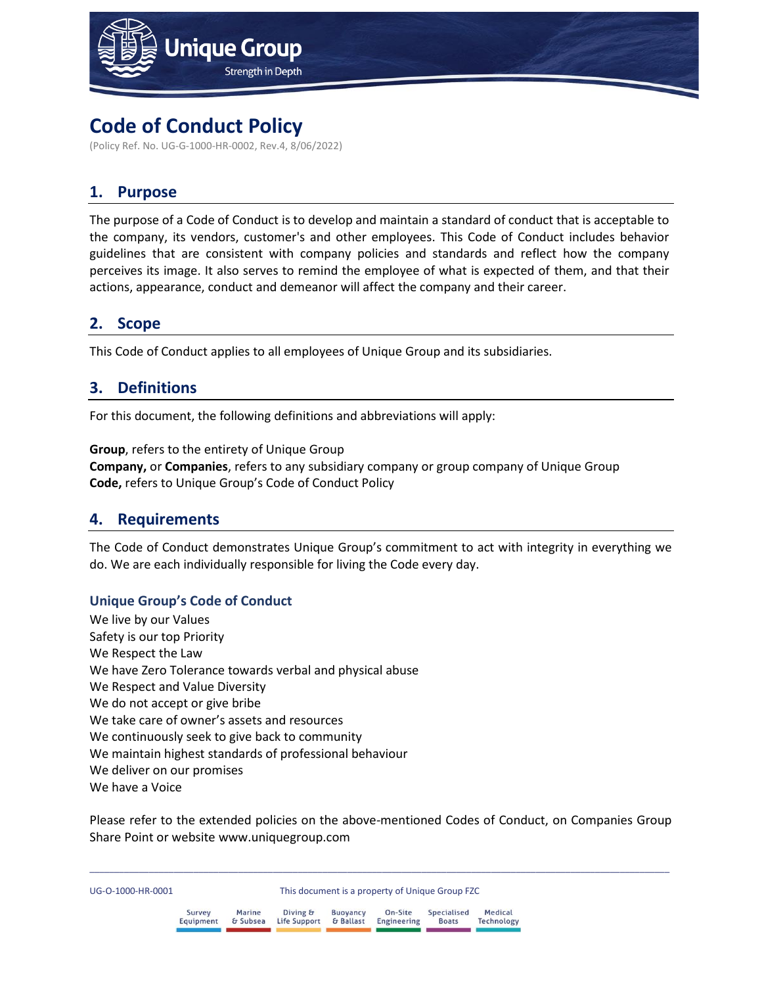

# **Code of Conduct Policy**

(Policy Ref. No. UG-G-1000-HR-0002, Rev.4, 8/06/2022)

## **1. Purpose**

The purpose of a Code of Conduct is to develop and maintain a standard of conduct that is acceptable to the company, its vendors, customer's and other employees. This Code of Conduct includes behavior guidelines that are consistent with company policies and standards and reflect how the company perceives its image. It also serves to remind the employee of what is expected of them, and that their actions, appearance, conduct and demeanor will affect the company and their career.

## **2. Scope**

This Code of Conduct applies to all employees of Unique Group and its subsidiaries.

## **3. Definitions**

For this document, the following definitions and abbreviations will apply:

**Group**, refers to the entirety of Unique Group **Company,** or **Companies**, refers to any subsidiary company or group company of Unique Group **Code,** refers to Unique Group's Code of Conduct Policy

### **4. Requirements**

The Code of Conduct demonstrates Unique Group's commitment to act with integrity in everything we do. We are each individually responsible for living the Code every day.

#### **Unique Group's Code of Conduct**

We live by our Values Safety is our top Priority We Respect the Law We have Zero Tolerance towards verbal and physical abuse We Respect and Value Diversity We do not accept or give bribe We take care of owner's assets and resources We continuously seek to give back to community We maintain highest standards of professional behaviour We deliver on our promises We have a Voice

Please refer to the extended policies on the above-mentioned Codes of Conduct, on Companies Group Share Point or website www.uniquegroup.com

| Survey    | <b>Marine</b> | Diving &     | <b>Buovancy</b> | On-Site     | Specialised  | Medical    |
|-----------|---------------|--------------|-----------------|-------------|--------------|------------|
| Equipment | & Subsea      | Life Support | & Ballast       | Engineering | <b>Boats</b> | Technology |
|           |               |              |                 |             |              |            |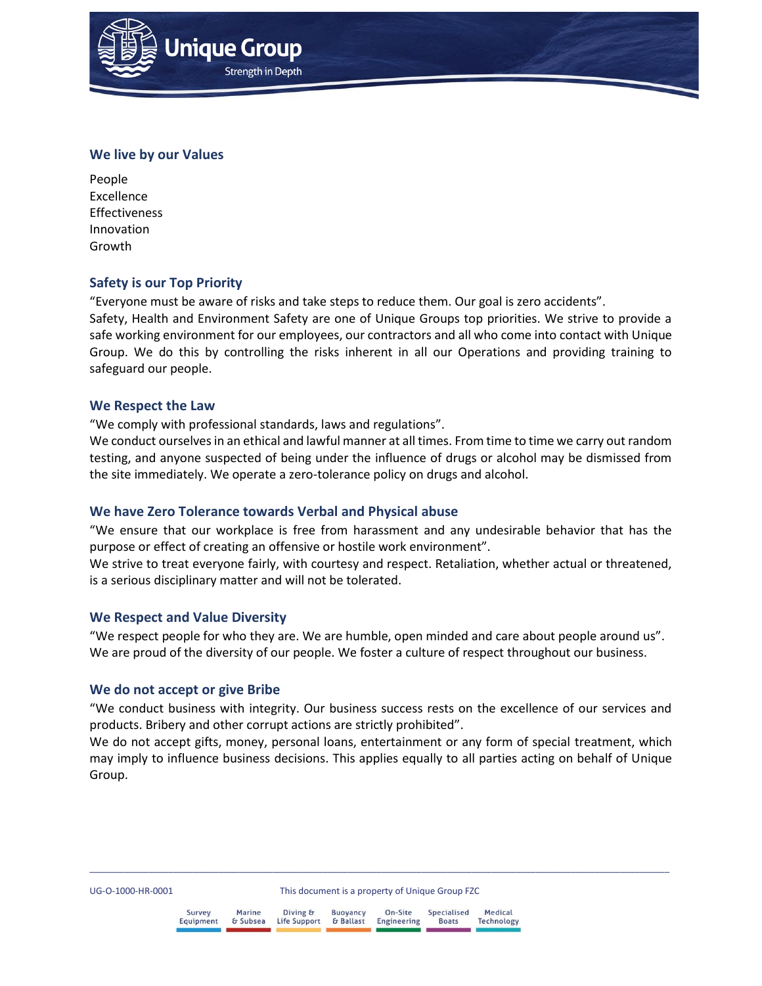

**Unique Group** 

**Strength in Depth** 

#### **We live by our Values**

People Excellence Effectiveness Innovation Growth

#### **Safety is our Top Priority**

"Everyone must be aware of risks and take steps to reduce them. Our goal is zero accidents".

Safety, Health and Environment Safety are one of Unique Groups top priorities. We strive to provide a safe working environment for our employees, our contractors and all who come into contact with Unique Group. We do this by controlling the risks inherent in all our Operations and providing training to safeguard our people.

#### **We Respect the Law**

"We comply with professional standards, laws and regulations".

We conduct ourselves in an ethical and lawful manner at all times. From time to time we carry out random testing, and anyone suspected of being under the influence of drugs or alcohol may be dismissed from the site immediately. We operate a zero-tolerance policy on drugs and alcohol.

#### **We have Zero Tolerance towards Verbal and Physical abuse**

"We ensure that our workplace is free from harassment and any undesirable behavior that has the purpose or effect of creating an offensive or hostile work environment".

We strive to treat everyone fairly, with courtesy and respect. Retaliation, whether actual or threatened, is a serious disciplinary matter and will not be tolerated.

#### **We Respect and Value Diversity**

"We respect people for who they are. We are humble, open minded and care about people around us". We are proud of the diversity of our people. We foster a culture of respect throughout our business.

#### **We do not accept or give Bribe**

"We conduct business with integrity. Our business success rests on the excellence of our services and products. Bribery and other corrupt actions are strictly prohibited".

We do not accept gifts, money, personal loans, entertainment or any form of special treatment, which may imply to influence business decisions. This applies equally to all parties acting on behalf of Unique Group.

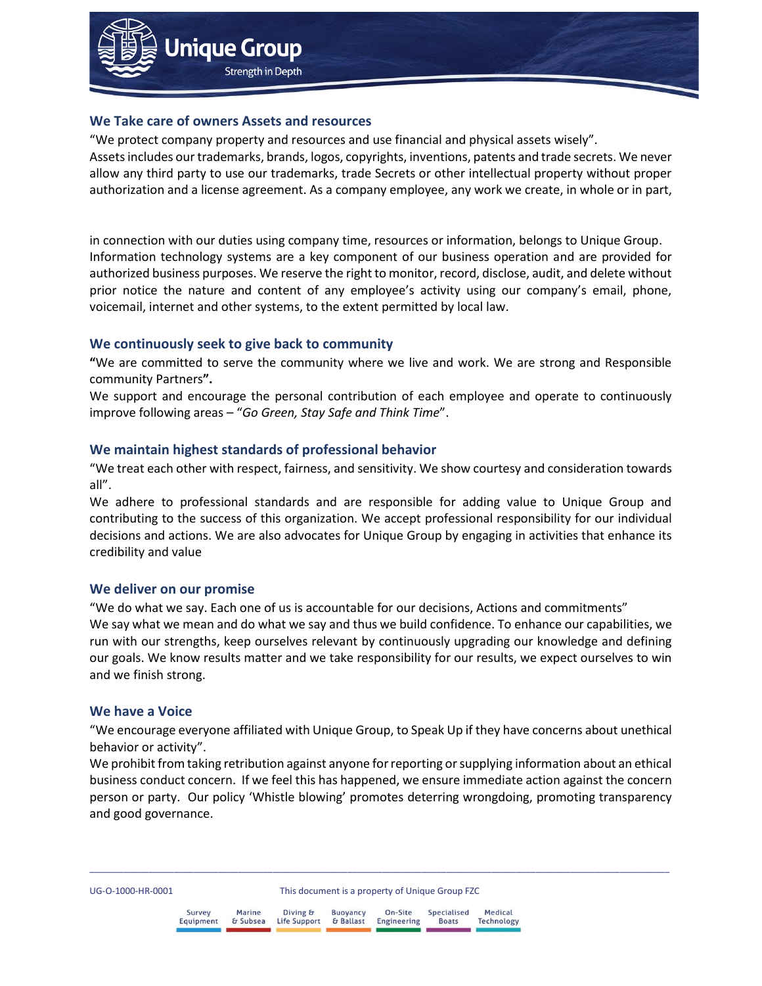

#### **We Take care of owners Assets and resources**

"We protect company property and resources and use financial and physical assets wisely". Assets includes our trademarks, brands, logos, copyrights, inventions, patents and trade secrets. We never allow any third party to use our trademarks, trade Secrets or other intellectual property without proper authorization and a license agreement. As a company employee, any work we create, in whole or in part,

in connection with our duties using company time, resources or information, belongs to Unique Group. Information technology systems are a key component of our business operation and are provided for authorized business purposes. We reserve the right to monitor, record, disclose, audit, and delete without prior notice the nature and content of any employee's activity using our company's email, phone, voicemail, internet and other systems, to the extent permitted by local law.

#### **We continuously seek to give back to community**

**"**We are committed to serve the community where we live and work. We are strong and Responsible community Partners**".** 

We support and encourage the personal contribution of each employee and operate to continuously improve following areas – "*Go Green, Stay Safe and Think Time*".

#### **We maintain highest standards of professional behavior**

"We treat each other with respect, fairness, and sensitivity. We show courtesy and consideration towards all".

We adhere to professional standards and are responsible for adding value to Unique Group and contributing to the success of this organization. We accept professional responsibility for our individual decisions and actions. We are also advocates for Unique Group by engaging in activities that enhance its credibility and value

#### **We deliver on our promise**

"We do what we say. Each one of us is accountable for our decisions, Actions and commitments" We say what we mean and do what we say and thus we build confidence. To enhance our capabilities, we run with our strengths, keep ourselves relevant by continuously upgrading our knowledge and defining our goals. We know results matter and we take responsibility for our results, we expect ourselves to win and we finish strong.

#### **We have a Voice**

"We encourage everyone affiliated with Unique Group, to Speak Up if they have concerns about unethical behavior or activity".

We prohibit from taking retribution against anyone for reporting or supplying information about an ethical business conduct concern. If we feel this has happened, we ensure immediate action against the concern person or party. Our policy 'Whistle blowing' promotes deterring wrongdoing, promoting transparency and good governance.